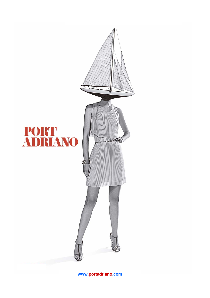

**www.portadriano.com**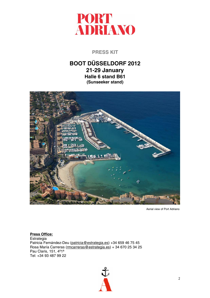

# **PRESS KIT**

# **BOOT DÜSSELDORF 2012 21-29 January Halle 6 stand B61 (Sunseeker stand)**



Aerial view of Port Adriano

**Press Office: Estrategia** Patricia Fernández-Deu (patricia@estrategia.es) +34 659 46 75 45 Rosa María Carreras (rmcarreras@estrategia.es) + 34 670 25 34 25 Pau Claris, 151, 4º1ª Tel: +34 93 487 99 22

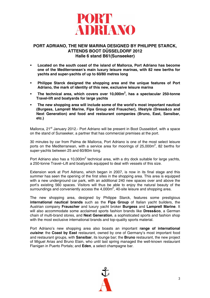

# **PORT ADRIANO, THE NEW MARINA DESIGNED BY PHILIPPE STARCK, ATTENDS BOOT DÜSSELDORF 2012 Halle 6 stand B61(Sunseeker)**

- **Located on the south coast of the island of Mallorca, Port Adriano has become one of the Mediterranean's main luxury leisure marinas, with 82 new berths for yachts and super-yachts of up to 60/80 metres long**
- **Philippe Starck designed the shopping area and the unique features of Port Adriano, the mark of identity of this new, exclusive leisure marina**
- **The technical area, which covers over 10,000m<sup>2</sup> , has a spectacular 250-tonne Travel-lift and boatyards for large yachts**
- **The new shopping area will include some of the world's most important nautical (Burgess, Lamprell Marine, Fipa Group and Frauscher), lifestyle (Dress&co and Next Generation) and food and restaurant companies (Bruno, East, Sansibar, etc.)**

Mallorca, 21<sup>st</sup> January 2012.- Port Adriano will be present in Boot Dusseldorf, with a space on the stand of Sunseeker, a partner that has commercial premises at the port.

30 minutes by car from Palma de Mallorca, Port Adriano is one of the most select leisure ports on the Mediterranean, with a service area for moorings of 25,000 $m^2$ , 82 berths for super-yachts between 25 and 60/80m long.

Port Adriano also has a 10,000 $m^2$  technical area, with a dry dock suitable for large yachts, a 250-tonne Travel–Lift and boatyards equipped to deal with vessels of this size.

Extension work at Port Adriano, which began in 2007, is now in its final stage and this summer has seen the opening of the first sites in the shopping area. This area is equipped with a new underground car park, with an additional 240 new spaces over and above the port's existing 560 spaces. Visitors will thus be able to enjoy the natural beauty of the surroundings and conveniently access the  $4,000m^2$ , 40-site leisure and shopping area.

The new shopping area, designed by Philippe Starck, features some prestigious **international nautical brands** such as the **Fipa Group** of Italian yacht builders, the Austrian company **Frauscher** and luxury yacht broker **Burgess** and **Lamprell Marine**. It will also accommodate some acclaimed sports fashion brands like **Dress&co**, a German chain of multi-brand stores, and **Next Generation**, a sophisticated sports and fashion shop with the most exclusive international brands and top-quality sports material.

Port Adriano's new shopping area also boasts an important **range of international**  *cuisine*: the **Coast by East** restaurant, owned by one of Germany's most important food and restaurant groups, with **Sansibar**, its lounge bar; the **Bruno** restaurant, the new project of Miguel Arias and Bruno Elain, who until last spring managed the well-known restaurant Flanigan in Puerto Portals; and **Eden**, a select champagne bar.

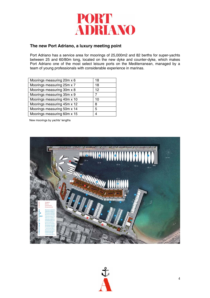

# **The new Port Adriano, a luxury meeting point**

Port Adriano has a service area for moorings of 25,000m2 and 82 berths for super-yachts between 25 and 60/80m long, located on the new dyke and counter-dyke, which makes Port Adriano one of the most select leisure ports on the Mediterranean, managed by a team of young professionals with considerable experience in marinas.

| Moorings measuring 20m x 6  | 18 |
|-----------------------------|----|
| Moorings measuring 25m x 7  | 18 |
| Moorings measuring 30m x 8  | 12 |
| Moorings measuring 35m x 9  | 7  |
| Moorings measuring 40m x 10 | 10 |
| Moorings measuring 45m x 12 | 8  |
| Moorings measuring 50m x 14 | 5  |
| Moorings measuring 60m x 15 |    |
|                             |    |

New moorings by yachts' lengths



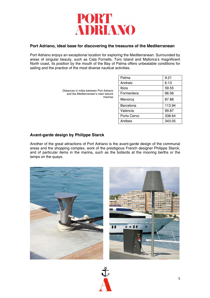

# **Port Adriano, ideal base for discovering the treasures of the Mediterranean**

Port Adriano enjoys an exceptional location for exploring the Mediterranean. Surrounded by areas of singular beauty, such as Cala Fornells, Toro Island and Mallorca's magnificent North coast, its position by the mouth of the Bay of Palma offers unbeatable conditions for sailing and the practice of the most diverse nautical activities.

| Distances in miles between Port Adriano<br>and the Mediterranean's main leisure<br>marinas | Palma            | 9.21   |
|--------------------------------------------------------------------------------------------|------------------|--------|
|                                                                                            | Andratx          | 6.13   |
|                                                                                            | Ibiza            | 59.55  |
|                                                                                            | Formentera       | 66.56  |
|                                                                                            | Menorca          | 87.88  |
|                                                                                            | <b>Barcelona</b> | 113.94 |
|                                                                                            | Valencia         | 99.87  |
|                                                                                            | Porto Cervo      | 338.64 |
|                                                                                            | Antibes          | 343.05 |

# **Avant-garde design by Philippe Starck**

Another of the great attractions of Port Adriano is the avant-garde design of the communal areas and the shopping complex, work of the prestigious French designer Philippe Starck, and of particular items in the marina, such as the bollards at the mooring berths or the lamps on the quays.



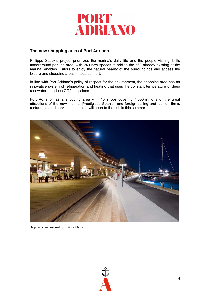

# **The new shopping area of Port Adriano**

Philippe Starck's project prioritizes the marina's daily life and the people visiting it. Its underground parking area, with 240 new spaces to add to the 560 already existing at the marina, enables visitors to enjoy the natural beauty of the surroundings and access the leisure and shopping areas in total comfort.

In line with Port Adriano's policy of respect for the environment, the shopping area has an innovative system of refrigeration and heating that uses the constant temperature of deep sea-water to reduce CO2 emissions.

Port Adriano has a shopping area with 40 shops covering  $4,000m^2$ , one of the great attractions of the new marina. Prestigious Spanish and foreign sailing and fashion firms, restaurants and service companies will open to the public this summer.



Shopping area designed by Philippe Starck

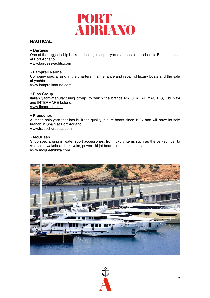

# **NAUTICAL**

### **Burgess**

One of the biggest ship brokers dealing in super-yachts, it has established its Balearic base at Port Adriano. www.burgessyachts.com

### **Lamprell Marine**

Company specialising in the charters, maintenance and repair of luxury boats and the sale of yachts. www.lamprellmarine.com

### **Fipa Group**

Italian yacht-manufacturing group, to which the brands MAIORA, AB YACHTS, Cbi Navi and INTERMARE belong. www.fipagroup.com

### **Frauscher,**

Austrian ship-yard that has built top-quality leisure boats since 1927 and will have its sole branch in Spain at Port Adriano. www.frauscherboats.com

## **McQueen**

Shop specialising in water sport accessories, from luxury items such as the Jet-lev flyer to wet suits, wakeboards, kayaks, power-ski jet boards or sea scooters. www.mcqueenibiza.com



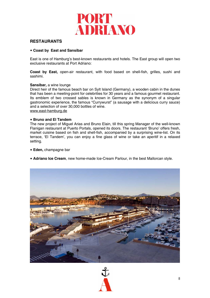

# **RESTAURANTS**

### **Coast by East and Sansibar**

East is one of Hamburg's best-known restaurants and hotels. The East group will open two exclusive restaurants at Port Adriano:

**Coast by East,** open-air restaurant, with food based on shell-fish, grilles, sushi and sashimi.

### **Sansibar,** a wine lounge

Direct heir of the famous beach bar on Sylt Island (Germany), a wooden cabin in the dunes that has been a meeting-point for celebrities for 30 years and a famous gourmet restaurant. Its emblem of two crossed sables is known in Germany as the synonym of a singular gastronomic experience, the famous "Currywurst" (a sausage with a delicious curry sauce) and a selection of over 30,000 bottles of wine. www.east-hamburg.de

### **Bruno and El Tandem**

The new project of Miguel Arias and Bruno Elain, till this spring Manager of the well-known Flanigan restaurant at Puerto Portals, opened its doors. The restaurant 'Bruno' offers fresh, market cuisine based on fish and shell-fish, accompanied by a surprising wine-list. On its terrace, 'El Tandem', you can enjoy a fine glass of wine or take an aperitif in a relaxed setting.

- **Eden,** champagne bar
- **Adriano Ice Cream**, new home-made Ice-Cream Parlour, in the best Mallorcan style.



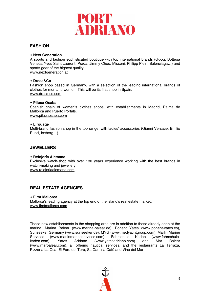# PORT **ADRIANO**

# **FASHION**

### **Next Generation**

A sports and fashion sophisticated boutique with top international brands (Gucci, Bottega Veneta, Yves Saint Laurent, Prada, Jimmy Choo, Missoni, Philipp Plein, Balenciaga…) and sports gear of the highest quality.

www.nextgeneration.at

### **Dress&Co**

Fashion shop based in Germany, with a selection of the leading international brands of clothes for men and women. This will be its first shop in Spain. www.dress-co.com

### **Piluca Osaba**

Spanish chain of women's clothes shops, with establishments in Madrid, Palma de Mallorca and Puerto Portals. www.pilucaosaba.com

### **Lirouage**

Multi-brand fashion shop in the top range, with ladies' accessories (Gianni Versace, Emilio Pucci, iceberg…)

## **JEWELLERS**

### **Relojería Alemana**

Exclusive watch-shop with over 130 years experience working with the best brands in watch-making and jewellery. www.relojeriaalemana.com

# **REAL ESTATE AGENCIES**

### **First Mallorca**

Mallorca's leading agency at the top end of the island's real estate market. www.firstmallorca.com

These new establishments in the shopping area are in addition to those already open at the marina: Marina Balear (www.marina-balear.de), Ponent Yates (www.ponent-yates.es), Sunseeker Germany (www.sunseeker.de), MYG (www.medyachtgroup.com), Marlin Marine Services (www.marlinmarineservices.com), Fahrschule Kaden (www.fahrschulekaden.com), Yates Adriano (www.yatesadriano.com) and Mar Balear (www.marbalear.com), all offering nautical services, and the restaurants La Terraza, Pizzería La Oca, El Faro del Toro, Sa Cantina Café and Vino del Mar.

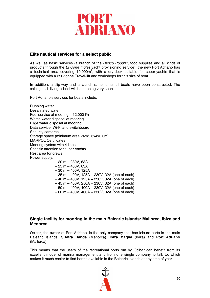

# **Elite nautical services for a select public**

As well as basic services (a branch of the *Banco Popular*, food supplies and all kinds of products through the *El Corte Inglés* yacht provisioning service), the new Port Adriano has a technical area covering 10,000 $m^2$ , with a dry-dock suitable for super-yachts that is equipped with a 250-tonne Travel-lift and workshops for this size of boat.

In addition, a slip-way and a launch ramp for small boats have been constructed. The sailing and diving school will be opening very soon.

Port Adriano's services for boats include:

Running water Desalinated water Fuel service at mooring – 12,000 l/h Waste water disposal at mooring Bilge water disposal at mooring Data service, Wi-Fi and switchboard Security cameras Storage space (minimum area  $24m^2$ , 6x4x3.3m) MARPOL Certificates Mooring system with 4 lines Specific attention for super-yachts Rest area for crews Power supply:  $-20$  m  $-230V$ , 63A  $-25 m - 400V$ , 63A  $-30$  m  $-400$ V, 125A – 35 m – 400V, 125A + 230V, 32A (one of each) – 40 m – 400V, 125A + 230V, 32A (one of each) – 45 m – 400V, 250A + 230V, 32A (one of each) – 50 m – 400V, 400A + 230V, 32A (one of each)

– 60 m – 400V, 400A + 230V, 32A (one of each)

# **Single facility for mooring in the main Balearic Islands: Mallorca, Ibiza and Menorca**

Ocibar, the owner of Port Adriano, is the only company that has leisure ports in the main Balearic islands: **S'Altra Banda** (Menorca), **Ibiza Magna** (Ibiza) and **Port Adriano** (Mallorca).

This means that the users of the recreational ports run by Ocibar can benefit from its excellent model of marina management and from one single company to talk to, which makes it much easier to find berths available in the Balearic Islands at any time of year.

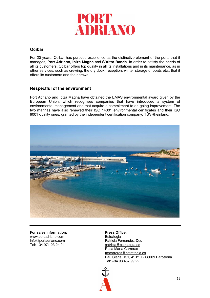

# **Ocibar**

For 20 years, Ocibar has pursued excellence as the distinctive element of the ports that it manages, **Port Adriano, Ibiza Magna** and **S'Altra Banda**. In order to satisfy the needs of all its customers, Ocibar offers top quality in all its installations and in its maintenance, as in other services, such as crewing, the dry dock, reception, winter storage of boats etc., that it offers its customers and their crews.

# **Respectful of the environment**

Port Adriano and Ibiza Magna have obtained the EMAS environmental award given by the European Union, which recognises companies that have introduced a system of environmental management and that acquire a commitment to on-going improvement. The two marinas have also renewed their ISO 14001 environmental certificates and their ISO 9001 quality ones, granted by the independent certification company, TÜVRheinland.



For sales information: **Press Office:** www.portadriano.com Estrategia

info@portadriano.com<br>
Tel: +34 971 23 24 94 patricia @estrategia.es patricia@estrategia.es Rosa María Carreras rmcarreras@estrategia.es Pau Claris, 151, 4º 1ª D - 08009 Barcelona Tel: +34 93 487 99 22